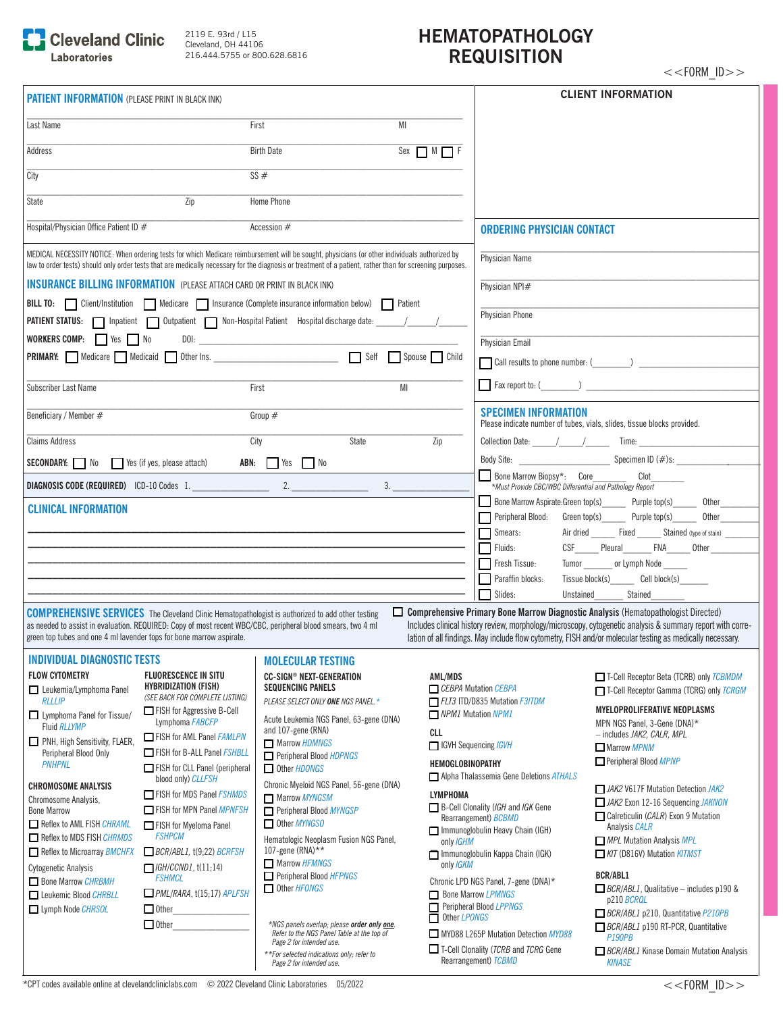

2119 E. 93rd / L15 Cleveland, OH 44106 216.444.5755 or 800.628.6816

## **HEMATOPATHOLOGY REQUISITION**

| <b>PATIENT INFORMATION (PLEASE PRINT IN BLACK INK)</b>                                                                                                                                                                                                                                                     |                                                                        |                           |                                                                                                                  | <b>CLIENT INFORMATION</b>                                                                                                                                                                                               |  |
|------------------------------------------------------------------------------------------------------------------------------------------------------------------------------------------------------------------------------------------------------------------------------------------------------------|------------------------------------------------------------------------|---------------------------|------------------------------------------------------------------------------------------------------------------|-------------------------------------------------------------------------------------------------------------------------------------------------------------------------------------------------------------------------|--|
| Last Name                                                                                                                                                                                                                                                                                                  | First                                                                  | MI                        |                                                                                                                  |                                                                                                                                                                                                                         |  |
| Address                                                                                                                                                                                                                                                                                                    | <b>Birth Date</b>                                                      | Sex $\prod M \prod F$     |                                                                                                                  |                                                                                                                                                                                                                         |  |
| City                                                                                                                                                                                                                                                                                                       | SS#                                                                    |                           |                                                                                                                  |                                                                                                                                                                                                                         |  |
| Zip<br>State                                                                                                                                                                                                                                                                                               | Home Phone                                                             |                           |                                                                                                                  |                                                                                                                                                                                                                         |  |
| Hospital/Physician Office Patient ID #                                                                                                                                                                                                                                                                     | Accession $#$                                                          |                           | <b>ORDERING PHYSICIAN CONTACT</b>                                                                                |                                                                                                                                                                                                                         |  |
| MEDICAL NECESSITY NOTICE: When ordering tests for which Medicare reimbursement will be sought, physicians (or other individuals authorized by<br>law to order tests) should only order tests that are medically necessary for the diagnosis or treatment of a patient, rather than for screening purposes. |                                                                        |                           | Physician Name                                                                                                   |                                                                                                                                                                                                                         |  |
| <b>INSURANCE BILLING INFORMATION</b> (PLEASE ATTACH CARD OR PRINT IN BLACK INK)                                                                                                                                                                                                                            |                                                                        |                           | Physician NPI#                                                                                                   |                                                                                                                                                                                                                         |  |
| BILL TO:   Client/Institution   Medicare   Insurance (Complete insurance information below)   Patient                                                                                                                                                                                                      |                                                                        |                           |                                                                                                                  |                                                                                                                                                                                                                         |  |
| PATIENT STATUS:   Inpatient   Outpatient   Non-Hospital Patient Hospital discharge date: / /                                                                                                                                                                                                               |                                                                        |                           | <b>Physician Phone</b>                                                                                           |                                                                                                                                                                                                                         |  |
| WORKERS COMP: Yes No                                                                                                                                                                                                                                                                                       |                                                                        |                           | Physician Email                                                                                                  |                                                                                                                                                                                                                         |  |
| PRIMARY: Medicare Medicaid ther Ins.                                                                                                                                                                                                                                                                       |                                                                        | Self Spouse Child         |                                                                                                                  |                                                                                                                                                                                                                         |  |
| Subscriber Last Name                                                                                                                                                                                                                                                                                       | First                                                                  | MI                        |                                                                                                                  | Fax report to: ( )                                                                                                                                                                                                      |  |
| Beneficiary / Member #                                                                                                                                                                                                                                                                                     | Group $#$                                                              |                           | <b>SPECIMEN INFORMATION</b>                                                                                      | Please indicate number of tubes, vials, slides, tissue blocks provided.                                                                                                                                                 |  |
| <b>Claims Address</b>                                                                                                                                                                                                                                                                                      | City<br>State                                                          | Zip                       |                                                                                                                  | Collection Date: ///// Time:                                                                                                                                                                                            |  |
| <b>SECONDARY:</b> No Yes (if yes, please attach)                                                                                                                                                                                                                                                           | ABN: Yes No                                                            |                           |                                                                                                                  |                                                                                                                                                                                                                         |  |
|                                                                                                                                                                                                                                                                                                            |                                                                        |                           | <b>Bone Marrow Biopsy*:</b> Core Conditional Clot <a> Must Provide CBC/WBC Differential and Pathology Report</a> | Clot                                                                                                                                                                                                                    |  |
| <b>CLINICAL INFORMATION</b>                                                                                                                                                                                                                                                                                |                                                                        |                           | Bone Marrow Aspirate: Green top(s) Purple top(s)                                                                 | Other                                                                                                                                                                                                                   |  |
|                                                                                                                                                                                                                                                                                                            |                                                                        |                           | Peripheral Blood: Green top(s) Purple top(s)<br>Smears:                                                          | Other<br>Air dried Fixed Stained (type of stain)                                                                                                                                                                        |  |
|                                                                                                                                                                                                                                                                                                            |                                                                        |                           | Fluids:                                                                                                          | CSF Pleural FNA Other                                                                                                                                                                                                   |  |
|                                                                                                                                                                                                                                                                                                            |                                                                        |                           | Fresh Tissue:                                                                                                    | Tumor _________ or Lymph Node ______                                                                                                                                                                                    |  |
|                                                                                                                                                                                                                                                                                                            |                                                                        |                           | Paraffin blocks:                                                                                                 | Tissue block(s) Cell block(s)<br>Unstained Stained                                                                                                                                                                      |  |
| <b>COMPREHENSIVE SERVICES</b> The Cleveland Clinic Hematopathologist is authorized to add other testing                                                                                                                                                                                                    |                                                                        |                           | Slides:                                                                                                          | Comprehensive Primary Bone Marrow Diagnostic Analysis (Hematopathologist Directed)                                                                                                                                      |  |
| as needed to assist in evaluation. REQUIRED: Copy of most recent WBC/CBC, peripheral blood smears, two 4 ml<br>green top tubes and one 4 ml lavender tops for bone marrow aspirate.                                                                                                                        |                                                                        |                           |                                                                                                                  | Includes clinical history review, morphology/microscopy, cytogenetic analysis & summary report with corre-<br>lation of all findings. May include flow cytometry, FISH and/or molecular testing as medically necessary. |  |
| <b>INDIVIDUAL DIAGNOSTIC TESTS</b>                                                                                                                                                                                                                                                                         | <b>I MOLECULAR TESTING</b>                                             |                           |                                                                                                                  |                                                                                                                                                                                                                         |  |
| <b>FLOW CYTOMETRY</b><br><b>FLUORESCENCE IN SITU</b><br><b>HYBRIDIZATION (FISH)</b>                                                                                                                                                                                                                        | <b>CC-SIGN® NEXT-GENERATION</b><br><b>SEQUENCING PANELS</b>            | AML/MDS                   | CEBPA Mutation CEBPA                                                                                             | T-Cell Receptor Beta (TCRB) only <i>TCBMDM</i>                                                                                                                                                                          |  |
| Leukemia/Lymphoma Panel<br>(SEE BACK FOR COMPLETE LISTING)<br><b>RLLLIP</b>                                                                                                                                                                                                                                | PLEASE SELECT ONLY ONE NGS PANEL.*                                     |                           | FLT3 ITD/D835 Mutation F3ITDM                                                                                    | T-Cell Receptor Gamma (TCRG) only <i>TCRGM</i>                                                                                                                                                                          |  |
| FISH for Aggressive B-Cell<br>Lymphoma Panel for Tissue/<br>Lymphoma FABCFP<br>Fluid RLLYMP                                                                                                                                                                                                                | Acute Leukemia NGS Panel, 63-gene (DNA)                                | <b>NPM1</b> Mutation NPM1 |                                                                                                                  | <b>MYELOPROLIFERATIVE NEOPLASMS</b><br>MPN NGS Panel, 3-Gene (DNA)*                                                                                                                                                     |  |
| FISH for AML Panel FAMLPN<br>PNH, High Sensitivity, FLAER,                                                                                                                                                                                                                                                 | and 107-gene (RNA)<br>Marrow HDMNGS                                    |                           | CLL<br>- includes JAK2, CALR, MPL<br><b>Sequencing IGVH</b><br>Marrow MPNM                                       |                                                                                                                                                                                                                         |  |
| Peripheral Blood Only<br>FISH for B-ALL Panel FSHBLL<br><b>PNHPNL</b>                                                                                                                                                                                                                                      | Peripheral Blood <i>HDPNGS</i>                                         | <b>HEMOGLOBINOPATHY</b>   |                                                                                                                  | Peripheral Blood <i>MPNP</i>                                                                                                                                                                                            |  |
| FISH for CLL Panel (peripheral<br>blood only) CLLFSH<br><b>CHROMOSOME ANALYSIS</b>                                                                                                                                                                                                                         | $\Box$ Other $HDONGS$<br>Chronic Myeloid NGS Panel, 56-gene (DNA)      |                           | Alpha Thalassemia Gene Deletions ATHALS                                                                          |                                                                                                                                                                                                                         |  |
| FISH for MDS Panel <i>FSHMDS</i><br>Chromosome Analysis.                                                                                                                                                                                                                                                   | Marrow MYNGSM                                                          | <b>LYMPHOMA</b>           | B-Cell Clonality (IGH and IGK Gene                                                                               | JAK2 V617F Mutation Detection JAK2<br>JAK2 Exon 12-16 Sequencing JAKNON                                                                                                                                                 |  |
| FISH for MPN Panel MPNFSH<br><b>Bone Marrow</b><br>Reflex to AML FISH CHRAML<br>FISH for Myeloma Panel                                                                                                                                                                                                     | Peripheral Blood <b>MYNGSP</b><br>Other MYNGSO                         |                           | Rearrangement) <b>BCBMD</b>                                                                                      | Calreticulin (CALR) Exon 9 Mutation<br>Analysis CALR                                                                                                                                                                    |  |
| <b>FSHPCM</b><br>Reflex to MDS FISH CHRMDS                                                                                                                                                                                                                                                                 | Hematologic Neoplasm Fusion NGS Panel,                                 | only <i>IGHM</i>          | Immunoglobulin Heavy Chain (IGH)                                                                                 | MPL Mutation Analysis MPL                                                                                                                                                                                               |  |
| Reflex to Microarray BMCHFX<br>$\Box$ BCR/ABL1, t(9,22) BCRFSH                                                                                                                                                                                                                                             | 107-gene (RNA)**<br>Marrow HFMNGS                                      |                           | Immunoglobulin Kappa Chain (IGK)<br>KIT (D816V) Mutation KITMST<br>only IGKM                                     |                                                                                                                                                                                                                         |  |
| $\Box$ IGH/CCND1, t(11;14)<br>Cytogenetic Analysis<br><b>FSHMCL</b><br>Bone Marrow CHRBMH                                                                                                                                                                                                                  | Peripheral Blood HFPNGS                                                |                           | Chronic LPD NGS Panel, 7-gene (DNA)*                                                                             | <b>BCR/ABL1</b>                                                                                                                                                                                                         |  |
| $\Box$ PML/RARA, t(15;17) APLFSH<br>Leukemic Blood CHRBLL                                                                                                                                                                                                                                                  | Other HFONGS                                                           |                           | Bone Marrow LPMNGS<br>Peripheral Blood LPPNGS                                                                    | $\Box$ BCR/ABL1, Qualitative – includes p190 &<br>p210 BCRQL                                                                                                                                                            |  |
| Lymph Node CHRSOL<br>$\Box$ Other<br>$\Box$ Other                                                                                                                                                                                                                                                          | *NGS panels overlap; please order only one.                            | Other LPONGS              |                                                                                                                  | BCR/ABL1 p210, Quantitative P210PB<br>BCR/ABL1 p190 RT-PCR, Quantitative                                                                                                                                                |  |
|                                                                                                                                                                                                                                                                                                            | Refer to the NGS Panel Table at the top of<br>Page 2 for intended use. |                           | MYD88 L265P Mutation Detection MYD88<br>P190PB                                                                   |                                                                                                                                                                                                                         |  |
|                                                                                                                                                                                                                                                                                                            | **For selected indications only; refer to<br>Page 2 for intended use.  |                           | T-Cell Clonality ( <i>TCRB</i> and <i>TCRG</i> Gene<br>Rearrangement) TCBMD                                      | BCR/ABL1 Kinase Domain Mutation Analysis<br><b>KINASE</b>                                                                                                                                                               |  |

 $<<$ FORM\_ID $>>$